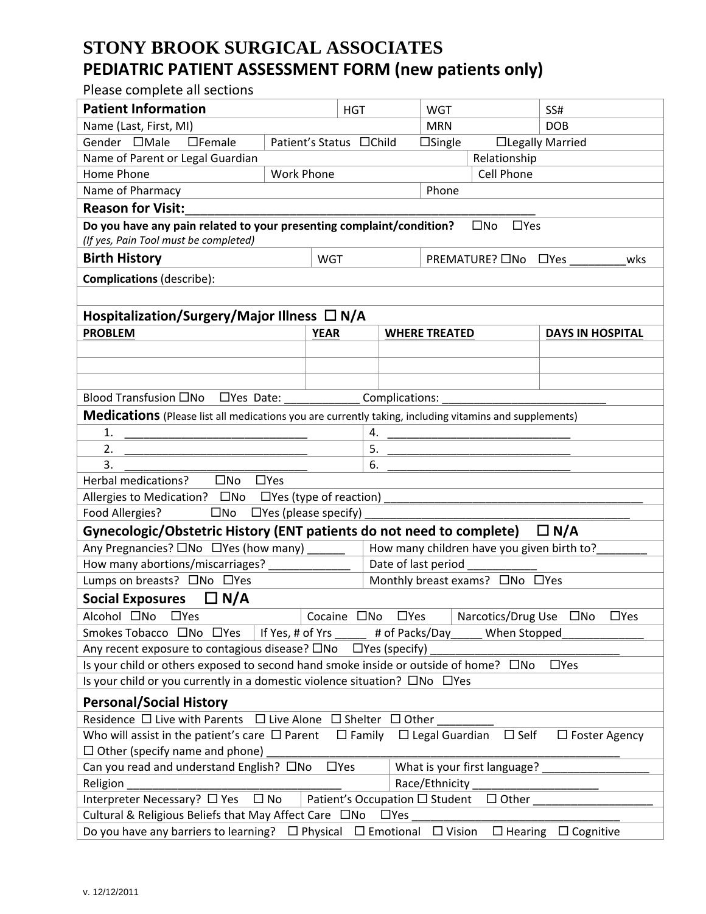## **STONY BROOK SURGICAL ASSOCIATES PEDIATRIC PATIENT ASSESSMENT FORM (new patients only)**

Please complete all sections

| <b>Patient Information</b>                                                                                                              |                   |                             | <b>HGT</b> |                     | <b>WGT</b>           |                                                                                                                        | SS#                     |  |
|-----------------------------------------------------------------------------------------------------------------------------------------|-------------------|-----------------------------|------------|---------------------|----------------------|------------------------------------------------------------------------------------------------------------------------|-------------------------|--|
| Name (Last, First, MI)                                                                                                                  |                   |                             |            |                     | <b>MRN</b>           |                                                                                                                        | <b>DOB</b>              |  |
| Gender <b>IMale</b><br>$\Box$ Female                                                                                                    |                   | Patient's Status □ Child    |            |                     | $\Box$ Single        |                                                                                                                        | □Legally Married        |  |
| Name of Parent or Legal Guardian                                                                                                        |                   |                             |            |                     |                      | Relationship                                                                                                           |                         |  |
| Home Phone                                                                                                                              | <b>Work Phone</b> |                             |            |                     |                      | Cell Phone                                                                                                             |                         |  |
| Name of Pharmacy                                                                                                                        |                   |                             |            | Phone               |                      |                                                                                                                        |                         |  |
| <b>Reason for Visit:</b>                                                                                                                |                   |                             |            |                     |                      |                                                                                                                        |                         |  |
| Do you have any pain related to your presenting complaint/condition?<br>$\square$ No<br>$\square$ Yes                                   |                   |                             |            |                     |                      |                                                                                                                        |                         |  |
| (If yes, Pain Tool must be completed)                                                                                                   |                   |                             |            |                     |                      |                                                                                                                        |                         |  |
| <b>Birth History</b>                                                                                                                    | <b>WGT</b>        |                             |            |                     | PREMATURE? □No □Yes  |                                                                                                                        | wks                     |  |
| <b>Complications (describe):</b>                                                                                                        |                   |                             |            |                     |                      |                                                                                                                        |                         |  |
|                                                                                                                                         |                   |                             |            |                     |                      |                                                                                                                        |                         |  |
| Hospitalization/Surgery/Major Illness □ N/A                                                                                             |                   |                             |            |                     |                      |                                                                                                                        |                         |  |
| <b>PROBLEM</b>                                                                                                                          |                   | <b>YEAR</b>                 |            |                     | <b>WHERE TREATED</b> |                                                                                                                        | <b>DAYS IN HOSPITAL</b> |  |
|                                                                                                                                         |                   |                             |            |                     |                      |                                                                                                                        |                         |  |
|                                                                                                                                         |                   |                             |            |                     |                      |                                                                                                                        |                         |  |
|                                                                                                                                         |                   |                             |            |                     |                      |                                                                                                                        |                         |  |
| □Yes Date: ______________Complications:<br>Blood Transfusion □No                                                                        |                   |                             |            |                     |                      |                                                                                                                        |                         |  |
| <b>Medications</b> (Please list all medications you are currently taking, including vitamins and supplements)                           |                   |                             |            |                     |                      |                                                                                                                        |                         |  |
| 1.                                                                                                                                      |                   |                             |            | 4.                  |                      | <u> 1989 - Johann John Harry Harry Harry Harry Harry Harry Harry Harry Harry Harry Harry Harry Harry Harry Harry H</u> |                         |  |
| 2.                                                                                                                                      |                   |                             |            | 5.                  |                      |                                                                                                                        |                         |  |
| 3.                                                                                                                                      |                   |                             |            | 6.                  |                      |                                                                                                                        |                         |  |
| Herbal medications?<br>$\square$ No                                                                                                     | $\Box$ Yes        |                             |            |                     |                      |                                                                                                                        |                         |  |
| Allergies to Medication? □No □ Yes (type of reaction) __________________________                                                        |                   |                             |            |                     |                      |                                                                                                                        |                         |  |
| Food Allergies?<br>$\square$ No                                                                                                         |                   | $\Box$ Yes (please specify) |            |                     |                      |                                                                                                                        |                         |  |
| Gynecologic/Obstetric History (ENT patients do not need to complete) $\Box$ N/A                                                         |                   |                             |            |                     |                      |                                                                                                                        |                         |  |
| Any Pregnancies? □No □Yes (how many)<br>How many children have you given birth to?                                                      |                   |                             |            |                     |                      |                                                                                                                        |                         |  |
| How many abortions/miscarriages?                                                                                                        |                   |                             |            | Date of last period |                      |                                                                                                                        |                         |  |
| Lumps on breasts? □No □Yes<br>Monthly breast exams? ONo OYes                                                                            |                   |                             |            |                     |                      |                                                                                                                        |                         |  |
| <b>Social Exposures</b><br>$\Box$ N/A                                                                                                   |                   |                             |            |                     |                      |                                                                                                                        |                         |  |
| Alcohol □No □Yes                                                                                                                        |                   | Cocaine ONo                 |            | $\Box$ Yes          |                      | Narcotics/Drug Use □No                                                                                                 | $\Box$ Yes              |  |
| Smokes Tobacco □No □Yes                                                                                                                 | If Yes, # of Yrs  |                             |            | # of Packs/Day      |                      | When Stopped                                                                                                           |                         |  |
| Any recent exposure to contagious disease? □No<br>$\Box$ Yes (specify)                                                                  |                   |                             |            |                     |                      |                                                                                                                        |                         |  |
| Is your child or others exposed to second hand smoke inside or outside of home? $\square$ No                                            |                   |                             |            |                     |                      |                                                                                                                        | $\Box$ Yes              |  |
| Is your child or you currently in a domestic violence situation? $\square$ No $\square$ Yes                                             |                   |                             |            |                     |                      |                                                                                                                        |                         |  |
| <b>Personal/Social History</b>                                                                                                          |                   |                             |            |                     |                      |                                                                                                                        |                         |  |
| Residence $\Box$ Live with Parents<br>$\Box$ Live Alone $\Box$ Shelter $\Box$ Other                                                     |                   |                             |            |                     |                      |                                                                                                                        |                         |  |
| Who will assist in the patient's care $\Box$ Parent<br>$\Box$ Legal Guardian<br>$\Box$ Family<br>$\square$ Self<br>$\Box$ Foster Agency |                   |                             |            |                     |                      |                                                                                                                        |                         |  |
| $\Box$ Other (specify name and phone)                                                                                                   |                   |                             |            |                     |                      |                                                                                                                        |                         |  |
| Can you read and understand English? □No<br>What is your first language?<br>$\Box$ Yes                                                  |                   |                             |            |                     |                      |                                                                                                                        |                         |  |
| Religion<br>Race/Ethnicity                                                                                                              |                   |                             |            |                     |                      |                                                                                                                        |                         |  |
| Patient's Occupation □ Student<br>Interpreter Necessary? □ Yes<br>$\square$ No<br>$\Box$ Other                                          |                   |                             |            |                     |                      |                                                                                                                        |                         |  |
| Cultural & Religious Beliefs that May Affect Care □No                                                                                   |                   |                             |            | $\Box$ Yes          |                      |                                                                                                                        |                         |  |
| Do you have any barriers to learning? $\Box$ Physical $\Box$ Emotional<br>$\Box$ Vision<br>$\Box$ Hearing $\Box$ Cognitive              |                   |                             |            |                     |                      |                                                                                                                        |                         |  |